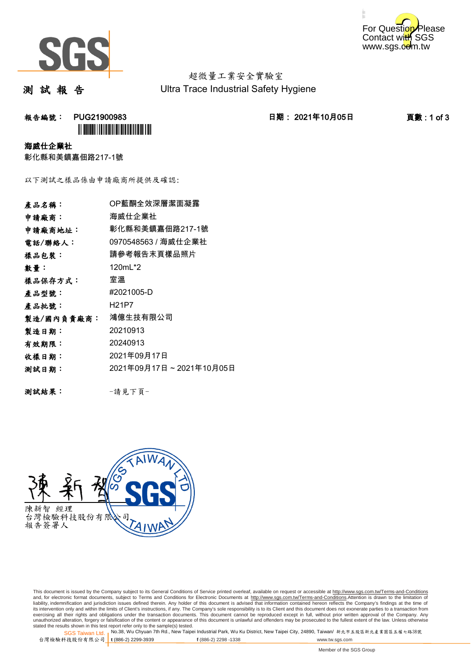



超微量工業安全實驗室 Ultra Trace Industrial Safety Hygiene

測 試 報 告

**報告編號: PUG21900983 2021年10月05日 日期: 2021年10月05日 2021年10月05日 東數:1 of 3 `** 

## 海威仕企業社

彰化縣和美鎮嘉佃路217-1號

以下測試之樣品係由申請廠商所提供及確認:

| 產品名稱:      | OP藍酮全效深層潔面凝露            |
|------------|-------------------------|
| 申請廠商:      | 海威仕企業社                  |
| 申請廠商地址:    | 彰化縣和美鎮嘉佃路217-1號         |
| 電話/聯絡人:    | 0970548563 / 海威仕企業社     |
| 樣品包裝:      | 請參考報告末頁樣品照片             |
| 數量:        | 120mL*2                 |
| 樣品保存方式:    | 室溫                      |
| 產品型號:      | #2021005-D              |
| 產品批號:      | H21P7                   |
| 製造/國內負責廠商: | 鴻億生技有限公司                |
| 製造日期:      | 20210913                |
| 有效期限:      | 20240913                |
| 收樣日期:      | 2021年09月17日             |
| 测試日期:      | 2021年09月17日~2021年10月05日 |
|            |                         |
| 測試結果:      | -請見下頁-                  |



This document is issued by the Company subject to its General Conditions of Service printed overleaf, available on request or accessible at http://www.sgs.com.tw/Terms-and-Conditions and, for electronic format documents, subject to Terms and Conditions for Electronic Documents at <u>http://www.sgs.com.tw/Terms-and-Conditions</u>.Attention is drawn to the limitation of<br>liability, indemnification and jurisdic exercising all their rights and obligations under the transaction documents. This document cannot be reproduced except in full, without prior written approval of the Company. Any<br>unauthorized alteration, forgery or falsifi

SGS Taiwan Ltd. 1 stated the results shown in this test report refer only to the sample(s) tested.<br>Stated the results shown in this test report refer only to the sample(s) tested.

台灣檢驗科技股份有限公司

**t** (886-2) 2299-3939 **f** (886-2) 2298 -1338 www.tw.sgs.com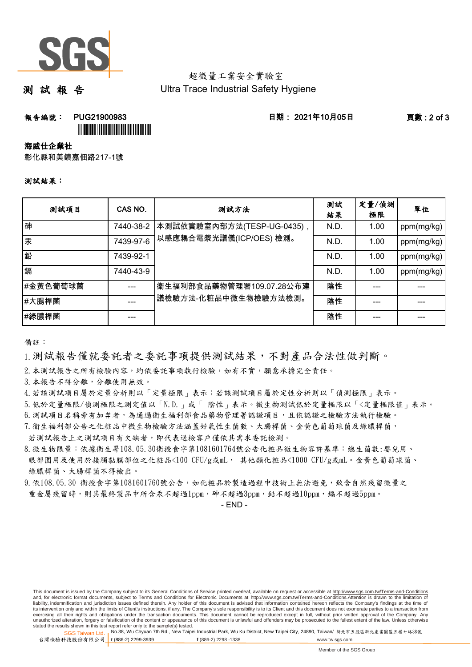

## 超微量工業安全實驗室 Ultra Trace Industrial Safety Hygiene

測 試 報 告

**報告編號: PUG21900983 - PUG21900983 - PUG21900983 - PUG215 - PUG21900983** - PUG215 - PUG21900983 - PUG

<u>III DININI ILI DININI ILI DININI ILI</u>

海威仕企業社

彰化縣和美鎮嘉佃路217-1號

## 測試結果:

| 测試項目     | CAS NO.   | 测試方法                                                 | 测試<br>結果 | 定量/偵測<br>極限 | 單位         |
|----------|-----------|------------------------------------------------------|----------|-------------|------------|
| 砷        | 7440-38-2 | 本測試依實驗室內部方法(TESP-UG-0435),<br>以感應耦合電漿光譜儀(ICP/OES)檢測。 | N.D.     | 1.00        | ppm(mg/kg) |
| 汞        | 7439-97-6 |                                                      | N.D.     | 1.00        | ppm(mg/kg) |
| 鉛        | 7439-92-1 |                                                      | N.D.     | 1.00        | ppm(mg/kg) |
| 鎘        | 7440-43-9 |                                                      | N.D.     | 1.00        | ppm(mg/kg) |
| #金黃色葡萄球菌 |           | 衛生福利部食品藥物管理署109.07.28公布建<br> 議檢驗方法-化粧品中微生物檢驗方法檢測。    | 陰性       |             |            |
| #大腸桿菌    |           |                                                      | 陰性       |             |            |
| #綠膿桿菌    |           |                                                      | 陰性       |             |            |

備註:

1.測試報告僅就委託者之委託事項提供測試結果,不對產品合法性做判斷。

2.本測試報告之所有檢驗內容,均依委託事項執行檢驗,如有不實,願意承擔完全責任。

3.本報告不得分離,分離使用無效。

4.若該測試項目屬於定量分析則以「定量極限」表示;若該測試項目屬於定性分析則以「偵測極限」表示。

5.低於定量極限/偵測極限之測定值以「N.D.」或「 陰性」表示。微生物測試低於定量極限以「<定量極限值」表示。

6.測試項目名稱旁有加#者,為通過衛生福利部食品藥物管理署認證項目,且依認證之檢驗方法執行檢驗。

7.衛生福利部公告之化粧品中微生物檢驗方法涵蓋好氣性生菌數、大腸桿菌、金黃色葡萄球菌及綠膿桿菌,

 綠膿桿菌、大腸桿菌不得檢出。 若測試報告上之測試項目有欠缺者,即代表送檢客戶僅依其需求委託檢測。 8.微生物限量:依據衛生署108.05.30衛授食字第1081601764號公告化粧品微生物容許基準:總生菌數:嬰兒用、 眼部圍用及使用於接觸黏膜部位之化粧品<100 CFU/g或mL, 其他類化粧品<1000 CFU/g或mL。金黃色葡萄球菌、

9.依108.05.30 衛授食字第1081601760號公告,如化粧品於製造過程中技術上無法避免,致含自然殘留微量之 重金屬殘留時,則其最終製品中所含汞不超過1ppm,砷不超過3ppm,鉛不超過10ppm,鎘不超過5ppm。

- END -

This document is issued by the Company subject to its General Conditions of Service printed overleaf, available on request or accessible at http://www.sgs.com.tw/Terms-and-Conditions and, for electronic format documents, subject to Terms and Conditions for Electronic Documents at http://www.sgs.com.tw/Terms-and-Conditions.Attention is drawn to the limitation of liability, indemnification and jurisdiction issues defined therein. Any holder of this document is advised that information contained hereon reflects the Company's findings at the time of<br>its intervention only and within t exercising all their rights and obligations under the transaction documents. This document cannot be reproduced except in full, without prior written approval of the Company. Any<br>unauthorized alteration, forgery or falsifi

SGS Taiwan Ltd. 1 stated the results shown in this test report refer only to the sample(s) tested.<br>Stated the results shown in this test report refer only to the sample(s) tested.